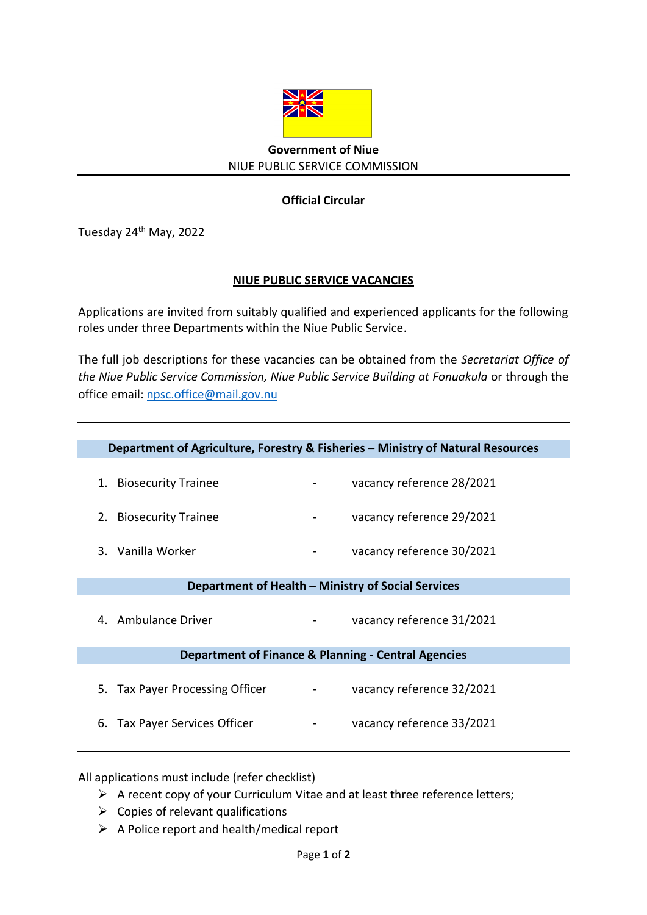

## **Government of Niue** NIUE PUBLIC SERVICE COMMISSION

## **Official Circular**

Tuesday 24<sup>th</sup> May, 2022

## **NIUE PUBLIC SERVICE VACANCIES**

Applications are invited from suitably qualified and experienced applicants for the following roles under three Departments within the Niue Public Service.

The full job descriptions for these vacancies can be obtained from the *Secretariat Office of*  the Niue Public Service Commission, Niue Public Service Building at Fonuakula or through the office email: [npsc.office@mail.gov.nu](mailto:npsc.office@mail.gov.nu)

|                                                     | Department of Agriculture, Forestry & Fisheries - Ministry of Natural Resources |
|-----------------------------------------------------|---------------------------------------------------------------------------------|
| 1. Biosecurity Trainee                              | vacancy reference 28/2021                                                       |
| 2. Biosecurity Trainee                              | vacancy reference 29/2021                                                       |
| 3. Vanilla Worker                                   | vacancy reference 30/2021                                                       |
| Department of Health - Ministry of Social Services  |                                                                                 |
| 4. Ambulance Driver                                 | vacancy reference 31/2021                                                       |
| Department of Finance & Planning - Central Agencies |                                                                                 |
| 5. Tax Payer Processing Officer                     | vacancy reference 32/2021                                                       |
| 6. Tax Payer Services Officer                       | vacancy reference 33/2021                                                       |
|                                                     |                                                                                 |

All applications must include (refer checklist)

- $\triangleright$  A recent copy of your Curriculum Vitae and at least three reference letters;
- $\triangleright$  Copies of relevant qualifications
- $\triangleright$  A Police report and health/medical report